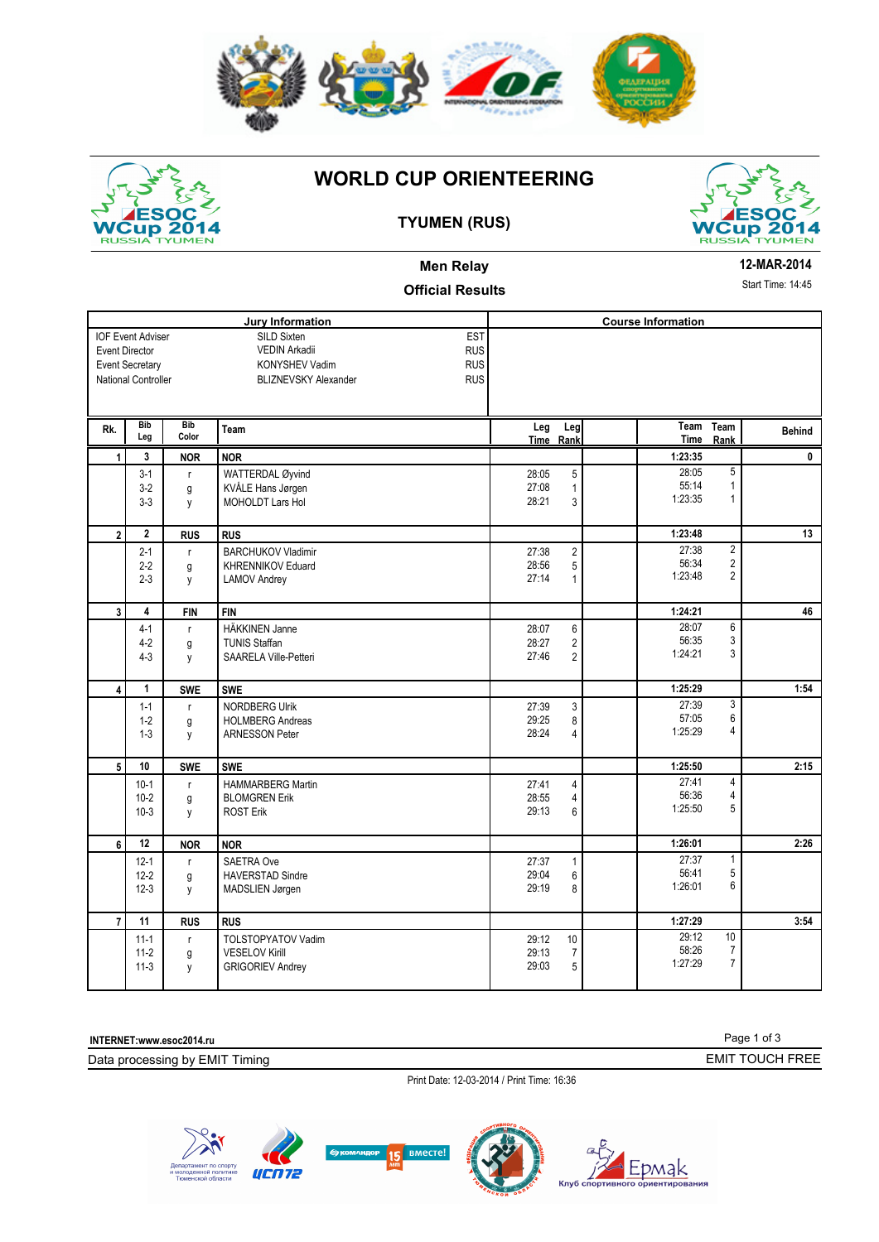



# **WORLD CUP ORIENTEERING**

## **TYUMEN (RUS)**



### **Men Relay Official Results**

#### **12-MAR-2014**

Start Time: 14:45

|                         |                          |              | <b>Jury Information</b>                   |       |                         | <b>Course Information</b> |                         |               |
|-------------------------|--------------------------|--------------|-------------------------------------------|-------|-------------------------|---------------------------|-------------------------|---------------|
|                         | <b>IOF Event Adviser</b> |              | EST<br>SILD Sixten                        |       |                         |                           |                         |               |
| <b>Event Director</b>   |                          |              | <b>RUS</b><br>VEDIN Arkadii               |       |                         |                           |                         |               |
|                         | <b>Event Secretary</b>   |              | <b>RUS</b><br><b>KONYSHEV Vadim</b>       |       |                         |                           |                         |               |
|                         | National Controller      |              | <b>RUS</b><br><b>BLIZNEVSKY Alexander</b> |       |                         |                           |                         |               |
|                         |                          |              |                                           |       |                         |                           |                         |               |
|                         |                          |              |                                           |       |                         |                           |                         |               |
| Rk.                     | <b>Bib</b>               | <b>Bib</b>   | Team                                      | Leg   | Leg                     | Team                      | Team                    | <b>Behind</b> |
|                         | Leg                      | Color        |                                           |       | Time Rank               | <b>Time</b>               | Rank                    |               |
| 1                       | 3                        | <b>NOR</b>   | <b>NOR</b>                                |       |                         | 1:23:35                   |                         | 0             |
|                         | $3-1$                    | $\mathsf{r}$ | WATTERDAL Øyvind                          | 28:05 | 5                       | 28:05                     | 5                       |               |
|                         | $3-2$                    | g            | KVÅLE Hans Jørgen                         | 27:08 | $\mathbf{1}$            | 55:14                     | $\mathbf{1}$            |               |
|                         | $3-3$                    | y            | <b>MOHOLDT Lars Hol</b>                   | 28:21 | 3                       | 1:23:35                   | $\mathbf{1}$            |               |
|                         |                          |              |                                           |       |                         |                           |                         |               |
| $\overline{2}$          | $\overline{2}$           | <b>RUS</b>   | <b>RUS</b>                                |       |                         | 1:23:48                   |                         | 13            |
|                         | $2 - 1$                  | $\mathsf{r}$ | <b>BARCHUKOV Vladimir</b>                 | 27:38 | $\overline{2}$          | 27:38                     | $\overline{2}$          |               |
|                         | $2 - 2$                  | g            | KHRENNIKOV Eduard                         | 28:56 | 5                       | 56:34                     | $\overline{2}$          |               |
|                         | $2 - 3$                  | y            | LAMOV Andrey                              | 27:14 | 1                       | 1:23:48                   | $\overline{2}$          |               |
|                         |                          |              |                                           |       |                         |                           |                         |               |
| $\overline{\mathbf{3}}$ | 4                        | <b>FIN</b>   | <b>FIN</b>                                |       |                         | 1:24:21                   |                         | 46            |
|                         | $4-1$                    | $\mathsf{r}$ | <b>HÄKKINEN Janne</b>                     | 28:07 | 6                       | 28:07                     | $\overline{6}$          |               |
|                         | $4 - 2$                  | g            | <b>TUNIS Staffan</b>                      | 28:27 | $\overline{\mathbf{c}}$ | 56:35                     | 3                       |               |
|                         | $4 - 3$                  | y            | SAARELA Ville-Petteri                     | 27:46 | $\overline{2}$          | 1:24:21                   | 3                       |               |
|                         |                          |              |                                           |       |                         |                           |                         |               |
| $\overline{\mathbf{4}}$ | $\mathbf{1}$             | <b>SWE</b>   | <b>SWE</b>                                |       |                         | 1:25:29                   |                         | 1:54          |
|                         | $1 - 1$                  | r            | <b>NORDBERG Ulrik</b>                     | 27:39 | 3                       | 27:39                     | 3                       |               |
|                         | $1 - 2$                  | g            | <b>HOLMBERG Andreas</b>                   | 29:25 | 8                       | 57:05                     | 6                       |               |
|                         | $1 - 3$                  | y            | <b>ARNESSON Peter</b>                     | 28:24 | 4                       | 1:25:29                   | 4                       |               |
|                         |                          |              |                                           |       |                         |                           |                         |               |
| $5\phantom{.0}$         | 10                       | <b>SWE</b>   | <b>SWE</b>                                |       |                         | 1:25:50                   |                         | 2:15          |
|                         | $10-1$                   | r            | HAMMARBERG Martin                         | 27:41 | 4                       | 27:41                     | $\overline{\mathbf{4}}$ |               |
|                         | $10 - 2$                 | g            | <b>BLOMGREN Erik</b>                      | 28:55 | $\overline{4}$          | 56:36                     | 4                       |               |
|                         | $10-3$                   | у            | <b>ROST Erik</b>                          | 29:13 | 6                       | 1:25:50                   | 5                       |               |
|                         |                          |              |                                           |       |                         |                           |                         |               |
| 6                       | 12                       | <b>NOR</b>   | <b>NOR</b>                                |       |                         | 1:26:01                   |                         | 2:26          |
|                         | $12 - 1$                 | $\mathsf{r}$ | SAETRA Ove                                | 27:37 | $\mathbf{1}$            | 27:37                     | $\mathbf{1}$            |               |
|                         | $12 - 2$                 | g            | <b>HAVERSTAD Sindre</b>                   | 29:04 | 6                       | 56:41                     | 5                       |               |
|                         | $12-3$                   | y            | MADSLIEN Jørgen                           | 29:19 | 8                       | 1:26:01                   | 6                       |               |
|                         |                          |              |                                           |       |                         |                           |                         |               |
| $\overline{7}$          | 11                       | <b>RUS</b>   | <b>RUS</b>                                |       |                         | 1:27:29                   |                         | 3:54          |
|                         | $11-1$                   | $\mathsf{r}$ | <b>TOLSTOPYATOV Vadim</b>                 | 29:12 | $10$                    | 29:12                     | 10                      |               |
|                         | $11-2$                   | g            | <b>VESELOV Kirill</b>                     | 29:13 | $\overline{7}$          | 58:26                     | $\overline{7}$          |               |
|                         | $11-3$                   | y            | <b>GRIGORIEV Andrey</b>                   | 29:03 | 5                       | 1:27:29                   | $\overline{7}$          |               |
|                         |                          |              |                                           |       |                         |                           |                         |               |

**INTERNET:www.esoc2014.ru** 

Data processing by EMIT Timing

Page 1 of 3 EMIT TOUCH FREE

Print Date: 12-03-2014 / Print Time: 16:36



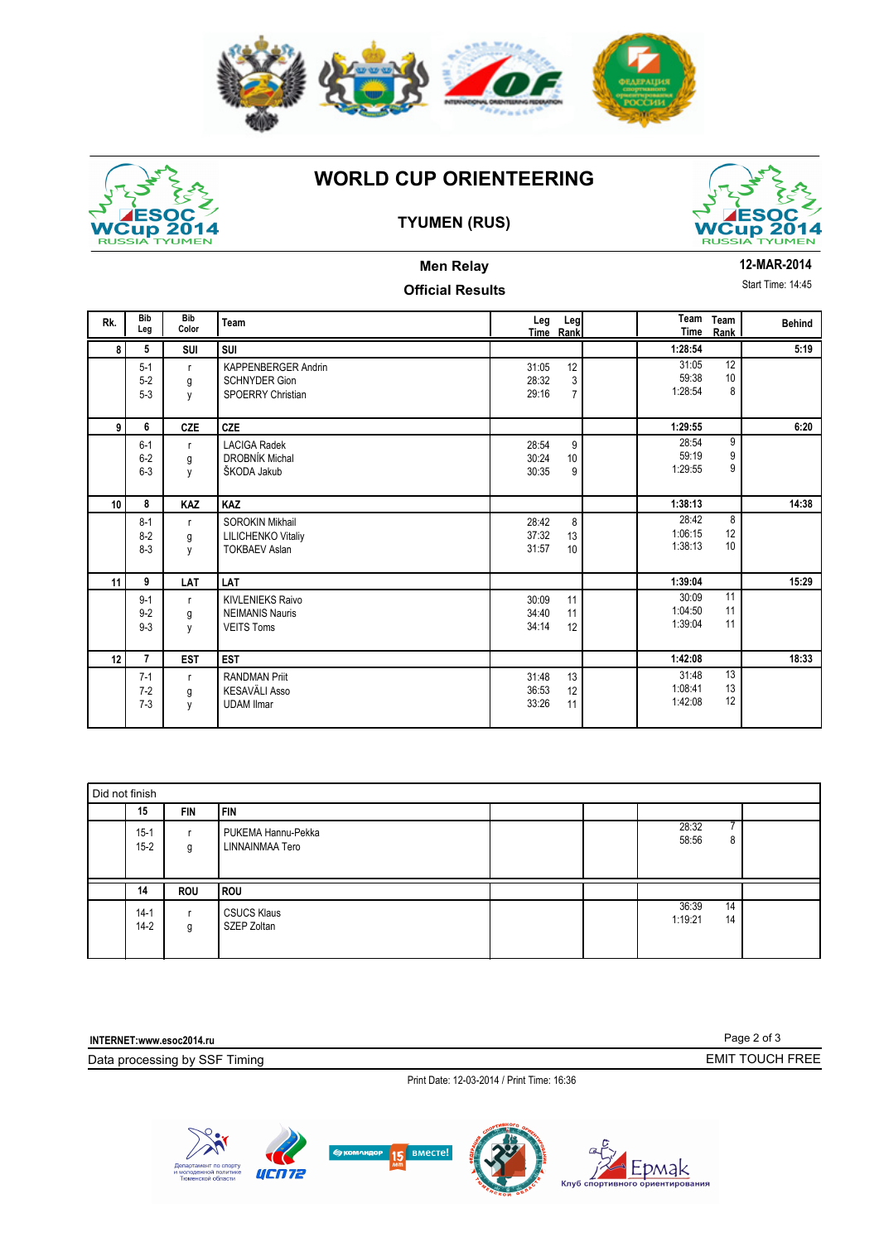



# **WORLD CUP ORIENTEERING**

## **TYUMEN (RUS)**



# **Men Relay**

#### **12-MAR-2014**

Start Time: 14:45

## **Official Results**

| Rk.             | <b>Bib</b><br>Leg             | <b>Bib</b><br>Color    | Team                                                                           | Leg                     | Leg<br>Time Rank          | <b>Time</b>                 | Team Team<br>Rank | <b>Behind</b> |
|-----------------|-------------------------------|------------------------|--------------------------------------------------------------------------------|-------------------------|---------------------------|-----------------------------|-------------------|---------------|
| 8               | 5                             | SUI                    | SUI                                                                            |                         |                           | 1:28:54                     |                   | 5:19          |
|                 | $5 - 1$<br>$5 - 2$<br>$5 - 3$ | $\mathsf{r}$<br>g<br>y | <b>KAPPENBERGER Andrin</b><br><b>SCHNYDER Gion</b><br><b>SPOERRY Christian</b> | 31:05<br>28:32<br>29:16 | 12<br>3<br>$\overline{7}$ | 31:05<br>59:38<br>1:28:54   | 12<br>10<br>8     |               |
| 9 <sup>1</sup>  | 6                             | <b>CZE</b>             | CZE                                                                            |                         |                           | 1:29:55                     |                   | 6:20          |
|                 | $6 - 1$<br>$6 - 2$<br>$6 - 3$ | $\mathsf{r}$<br>g<br>y | <b>LACIGA Radek</b><br><b>DROBNÍK Michal</b><br>ŠKODA Jakub                    | 28:54<br>30:24<br>30:35 | 9<br>10<br>9              | 28:54<br>59:19<br>1:29:55   | 9<br>9<br>9       |               |
| 10 <sup>1</sup> | 8                             | KAZ                    | <b>KAZ</b>                                                                     |                         |                           | 1:38:13                     |                   | 14:38         |
|                 | $8 - 1$<br>$8 - 2$<br>$8-3$   | $\mathsf{r}$<br>g<br>y | <b>SOROKIN Mikhail</b><br><b>LILICHENKO Vitaliy</b><br><b>TOKBAEV Aslan</b>    | 28:42<br>37:32<br>31:57 | 8<br>13<br>10             | 28:42<br>1:06:15<br>1:38:13 | 8<br>12<br>10     |               |
| 11              | 9                             | LAT                    | LAT                                                                            |                         |                           | 1:39:04                     |                   | 15:29         |
|                 | $9 - 1$<br>$9 - 2$<br>$9 - 3$ | $\mathsf{r}$<br>g<br>y | <b>KIVLENIEKS Raivo</b><br><b>NEIMANIS Nauris</b><br><b>VEITS Toms</b>         | 30:09<br>34:40<br>34:14 | 11<br>11<br>12            | 30:09<br>1:04:50<br>1:39:04 | 11<br>11<br>11    |               |
| 12              | $\overline{7}$                | <b>EST</b>             | <b>EST</b>                                                                     |                         |                           | 1:42:08                     |                   | 18:33         |
|                 | $7-1$<br>$7 - 2$<br>$7 - 3$   | $\mathsf{r}$<br>g<br>y | <b>RANDMAN Priit</b><br><b>KESAVÄLI Asso</b><br><b>UDAM Ilmar</b>              | 31:48<br>36:53<br>33:26 | 13<br>12<br>11            | 31:48<br>1:08:41<br>1:42:08 | 13<br>13<br>12    |               |

| Did not finish       |            |                                       |  |  |                          |  |  |  |  |  |
|----------------------|------------|---------------------------------------|--|--|--------------------------|--|--|--|--|--|
| 15                   | <b>FIN</b> | <b>FIN</b>                            |  |  |                          |  |  |  |  |  |
| $15 - 1$<br>$15 - 2$ | g          | PUKEMA Hannu-Pekka<br>LINNAINMAA Tero |  |  | 28:32<br>-<br>58:56<br>8 |  |  |  |  |  |
| 14                   | <b>ROU</b> | l ROU                                 |  |  |                          |  |  |  |  |  |
| $14-1$               |            | <b>CSUCS Klaus</b>                    |  |  | $1\overline{4}$<br>36:39 |  |  |  |  |  |

| INTERNET:www.esoc2014.ru                   | Page 2 of 3     |
|--------------------------------------------|-----------------|
| Data processing by SSF Timing              | EMIT TOUCH FREE |
| Print Date: 12-03-2014 / Print Time: 16:36 |                 |